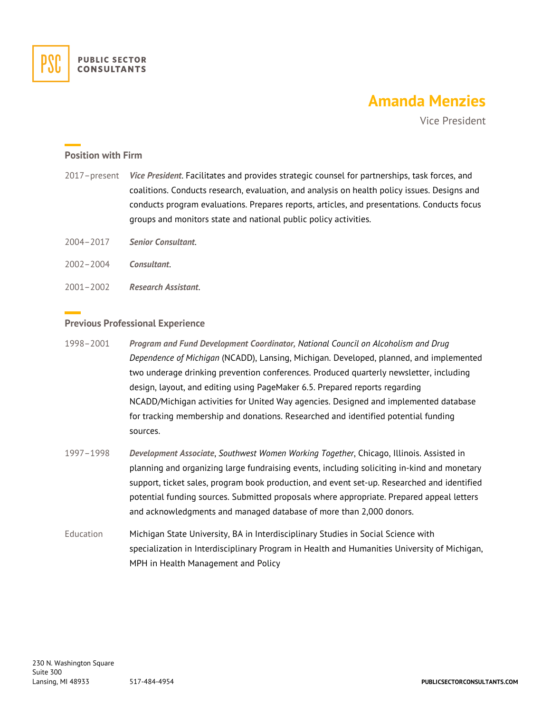

# **Amanda Menzies**

Vice President

### **Position with Firm**

- 2017–present *Vice President*. Facilitates and provides strategic counsel for partnerships, task forces, and coalitions. Conducts research, evaluation, and analysis on health policy issues. Designs and conducts program evaluations. Prepares reports, articles, and presentations. Conducts focus groups and monitors state and national public policy activities.
- 2004–2017 *Senior Consultant*.
- 2002–2004 *Consultant*.
- 2001–2002 *Research Assistant*.

#### **Previous Professional Experience**

- 1998–2001 *Program and Fund Development Coordinator, National Council on Alcoholism and Drug Dependence of Michigan* (NCADD), Lansing, Michigan. Developed, planned, and implemented two underage drinking prevention conferences. Produced quarterly newsletter, including design, layout, and editing using PageMaker 6.5. Prepared reports regarding NCADD/Michigan activities for United Way agencies. Designed and implemented database for tracking membership and donations. Researched and identified potential funding sources.
- 1997–1998 *Development Associate*, *Southwest Women Working Together*, Chicago, Illinois. Assisted in planning and organizing large fundraising events, including soliciting in-kind and monetary support, ticket sales, program book production, and event set-up. Researched and identified potential funding sources. Submitted proposals where appropriate. Prepared appeal letters and acknowledgments and managed database of more than 2,000 donors.
- Education Michigan State University, BA in Interdisciplinary Studies in Social Science with specialization in Interdisciplinary Program in Health and Humanities University of Michigan, MPH in Health Management and Policy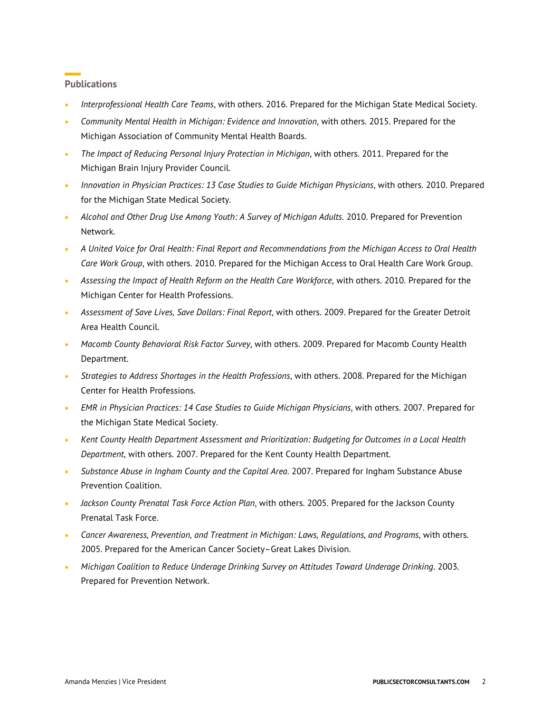## **Publications**

- *Interprofessional Health Care Teams*, with others. 2016. Prepared for the Michigan State Medical Society.
- *Community Mental Health in Michigan: Evidence and Innovation*, with others. 2015. Prepared for the Michigan Association of Community Mental Health Boards.
- *The Impact of Reducing Personal Injury Protection in Michigan*, with others. 2011. Prepared for the Michigan Brain Injury Provider Council.
- *Innovation in Physician Practices: 13 Case Studies to Guide Michigan Physicians*, with others. 2010. Prepared for the Michigan State Medical Society.
- *Alcohol and Other Drug Use Among Youth: A Survey of Michigan Adults*. 2010. Prepared for Prevention Network.
- *A United Voice for Oral Health: Final Report and Recommendations from the Michigan Access to Oral Health Care Work Group*, with others. 2010. Prepared for the Michigan Access to Oral Health Care Work Group.
- *Assessing the Impact of Health Reform on the Health Care Workforce*, with others. 2010. Prepared for the Michigan Center for Health Professions.
- *Assessment of Save Lives, Save Dollars: Final Report*, with others. 2009. Prepared for the Greater Detroit Area Health Council.
- *Macomb County Behavioral Risk Factor Survey*, with others. 2009. Prepared for Macomb County Health Department.
- *Strategies to Address Shortages in the Health Professions*, with others. 2008. Prepared for the Michigan Center for Health Professions.
- *EMR in Physician Practices: 14 Case Studies to Guide Michigan Physicians*, with others. 2007. Prepared for the Michigan State Medical Society.
- *Kent County Health Department Assessment and Prioritization: Budgeting for Outcomes in a Local Health Department*, with others. 2007. Prepared for the Kent County Health Department.
- *Substance Abuse in Ingham County and the Capital Area*. 2007. Prepared for Ingham Substance Abuse Prevention Coalition.
- *Jackson County Prenatal Task Force Action Plan*, with others. 2005. Prepared for the Jackson County Prenatal Task Force.
- *Cancer Awareness, Prevention, and Treatment in Michigan: Laws, Regulations, and Programs*, with others. 2005. Prepared for the American Cancer Society–Great Lakes Division.
- *Michigan Coalition to Reduce Underage Drinking Survey on Attitudes Toward Underage Drinking*. 2003. Prepared for Prevention Network.